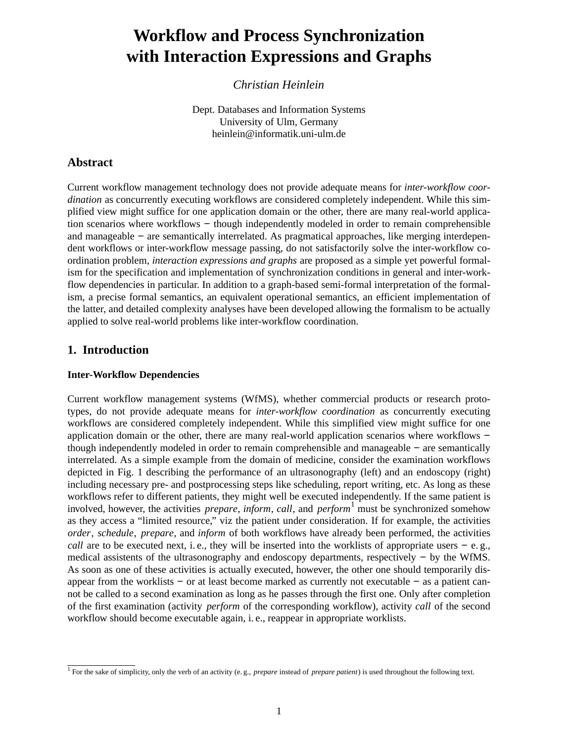# **Workflow and Process Synchronization with Interaction Expressions and Graphs**

*Christian Heinlein*

Dept. Databases and Information Systems University of Ulm, Germany heinlein@informatik.uni-ulm.de

# **Abstract**

Current workflow management technology does not provide adequate means for *inter-workflow coordination* as concurrently executing workflows are considered completely independent. While this simplified view might suffice for one application domain or the other, there are many real-world application scenarios where workflows – though independently modeled in order to remain comprehensible and manageable −− are semantically interrelated. As pragmatical approaches, like merging interdependent workflows or inter-workflow message passing, do not satisfactorily solve the inter-workflow coordination problem, *interaction expressions and graphs* are proposed as a simple yet powerful formalism for the specification and implementation of synchronization conditions in general and inter-workflow dependencies in particular. In addition to a graph-based semi-formal interpretation of the formalism, a precise formal semantics, an equivalent operational semantics, an efficient implementation of the latter, and detailed complexity analyses have been developed allowing the formalism to be actually applied to solve real-world problems like inter-workflow coordination.

# **1. Introduction**

## **Inter-Workflow Dependencies**

Current workflow management systems (WfMS), whether commercial products or research prototypes, do not provide adequate means for *inter-workflow coordination* as concurrently executing workflows are considered completely independent. While this simplified view might suffice for one application domain or the other, there are many real-world application scenarios where workflows −− though independently modeled in order to remain comprehensible and manageable −− are semantically interrelated. As a simple example from the domain of medicine, consider the examination workflows depicted in Fig. 1 describing the performance of an ultrasonography (left) and an endoscopy (right) including necessary pre- and postprocessing steps like scheduling, report writing, etc. As long as these workflows refer to different patients, they might well be executed independently. If the same patient is involved, however, the activities *prepare*, *inform*, *call*, and *perform*<sup>1</sup> must be synchronized somehow as they access a "limited resource," viz the patient under consideration. If for example, the activities *order*, *schedule*, *prepare*, and *inform* of both workflows have already been performed, the activities *call* are to be executed next, i.e., they will be inserted into the worklists of appropriate users – e.g., medical assistents of the ultrasonography and endoscopy departments, respectively – by the WfMS. As soon as one of these activities is actually executed, however, the other one should temporarily disappear from the worklists −− or at least become marked as currently not executable −− as a patient cannot be called to a second examination as long as he passes through the first one. Only after completion of the first examination (activity *perform* of the corresponding workflow), activity *call* of the second workflow should become executable again, i. e., reappear in appropriate worklists.

<sup>1</sup> For the sake of simplicity, only the verb of an activity (e. g., *prepare* instead of *prepare patient*) is used throughout the following text.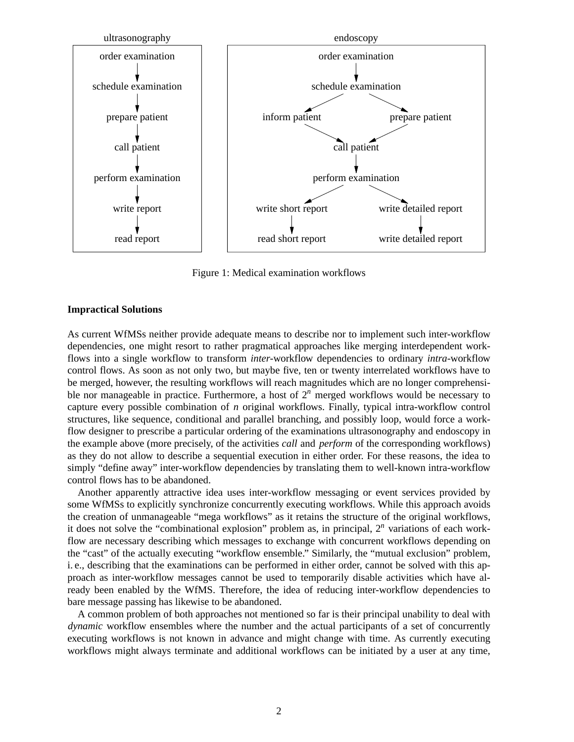

Figure 1: Medical examination workflows

## **Impractical Solutions**

As current WfMSs neither provide adequate means to describe nor to implement such inter-workflow dependencies, one might resort to rather pragmatical approaches like merging interdependent workflows into a single workflow to transform *inter-*workflow dependencies to ordinary *intra-*workflow control flows. As soon as not only two, but maybe five, ten or twenty interrelated workflows have to be merged, however, the resulting workflows will reach magnitudes which are no longer comprehensible nor manageable in practice. Furthermore, a host of  $2<sup>n</sup>$  merged workflows would be necessary to capture every possible combination of *n* original workflows. Finally, typical intra-workflow control structures, like sequence, conditional and parallel branching, and possibly loop, would force a workflow designer to prescribe a particular ordering of the examinations ultrasonography and endoscopy in the example above (more precisely, of the activities *call* and *perform* of the corresponding workflows) as they do not allow to describe a sequential execution in either order. For these reasons, the idea to simply "define away" inter-workflow dependencies by translating them to well-known intra-workflow control flows has to be abandoned.

Another apparently attractive idea uses inter-workflow messaging or event services provided by some WfMSs to explicitly synchronize concurrently executing workflows. While this approach avoids the creation of unmanageable "mega workflows" as it retains the structure of the original workflows, it does not solve the "combinational explosion" problem as, in principal, 2*<sup>n</sup>* variations of each workflow are necessary describing which messages to exchange with concurrent workflows depending on the "cast" of the actually executing "workflow ensemble." Similarly, the "mutual exclusion" problem, i. e., describing that the examinations can be performed in either order, cannot be solved with this approach as inter-workflow messages cannot be used to temporarily disable activities which have already been enabled by the WfMS. Therefore, the idea of reducing inter-workflow dependencies to bare message passing has likewise to be abandoned.

A common problem of both approaches not mentioned so far is their principal unability to deal with *dynamic* workflow ensembles where the number and the actual participants of a set of concurrently executing workflows is not known in advance and might change with time. As currently executing workflows might always terminate and additional workflows can be initiated by a user at any time,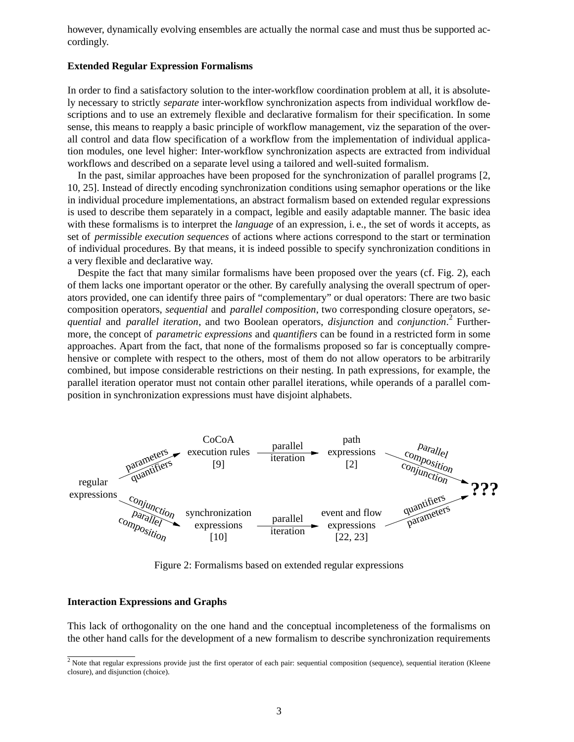however, dynamically evolving ensembles are actually the normal case and must thus be supported accordingly.

#### **Extended Regular Expression Formalisms**

In order to find a satisfactory solution to the inter-workflow coordination problem at all, it is absolutely necessary to strictly *separate* inter-workflow synchronization aspects from individual workflow descriptions and to use an extremely flexible and declarative formalism for their specification. In some sense, this means to reapply a basic principle of workflow management, viz the separation of the overall control and data flow specification of a workflow from the implementation of individual application modules, one level higher: Inter-workflow synchronization aspects are extracted from individual workflows and described on a separate level using a tailored and well-suited formalism.

In the past, similar approaches have been proposed for the synchronization of parallel programs [2, 10, 25]. Instead of directly encoding synchronization conditions using semaphor operations or the like in individual procedure implementations, an abstract formalism based on extended regular expressions is used to describe them separately in a compact, legible and easily adaptable manner. The basic idea with these formalisms is to interpret the *language* of an expression, i. e., the set of words it accepts, as set of *permissible execution sequences* of actions where actions correspond to the start or termination of individual procedures. By that means, it is indeed possible to specify synchronization conditions in a very flexible and declarative way.

Despite the fact that many similar formalisms have been proposed over the years (cf. Fig. 2), each of them lacks one important operator or the other. By carefully analysing the overall spectrum of operators provided, one can identify three pairs of "complementary" or dual operators: There are two basic composition operators, *sequential* and *parallel composition*, two corresponding closure operators, *sequential* and *parallel iteration*, and two Boolean operators, *disjunction* and *conjunction*. <sup>2</sup> Furthermore, the concept of *parametric expressions* and *quantifiers* can be found in a restricted form in some approaches. Apart from the fact, that none of the formalisms proposed so far is conceptually comprehensive or complete with respect to the others, most of them do not allow operators to be arbitrarily combined, but impose considerable restrictions on their nesting. In path expressions, for example, the parallel iteration operator must not contain other parallel iterations, while operands of a parallel composition in synchronization expressions must have disjoint alphabets.



Figure 2: Formalisms based on extended regular expressions

#### **Interaction Expressions and Graphs**

This lack of orthogonality on the one hand and the conceptual incompleteness of the formalisms on the other hand calls for the development of a new formalism to describe synchronization requirements

 $2$  Note that regular expressions provide just the first operator of each pair: sequential composition (sequence), sequential iteration (Kleene closure), and disjunction (choice).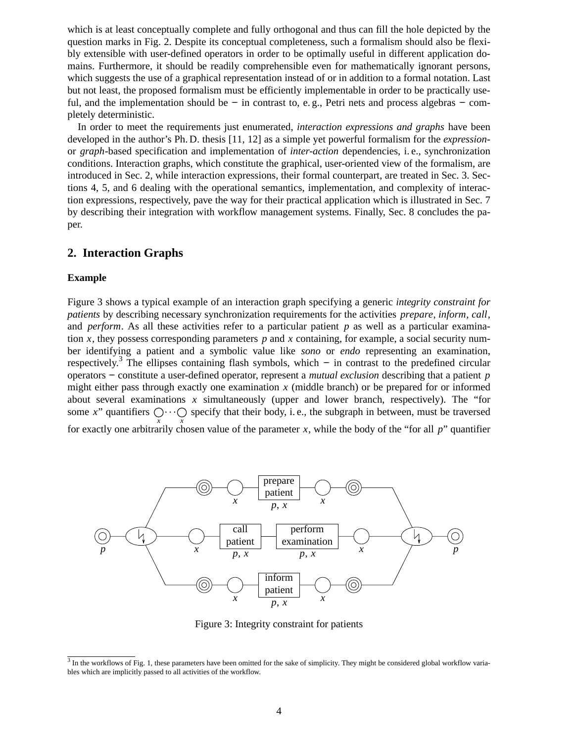which is at least conceptually complete and fully orthogonal and thus can fill the hole depicted by the question marks in Fig. 2. Despite its conceptual completeness, such a formalism should also be flexibly extensible with user-defined operators in order to be optimally useful in different application domains. Furthermore, it should be readily comprehensible even for mathematically ignorant persons, which suggests the use of a graphical representation instead of or in addition to a formal notation. Last but not least, the proposed formalism must be efficiently implementable in order to be practically useful, and the implementation should be – in contrast to, e.g., Petri nets and process algebras – completely deterministic.

In order to meet the requirements just enumerated, *interaction expressions and graphs* have been developed in the author's Ph. D. thesis [11, 12] as a simple yet powerful formalism for the *expression*or *graph*-based specification and implementation of *inter-action* dependencies, i. e., synchronization conditions. Interaction graphs, which constitute the graphical, user-oriented view of the formalism, are introduced in Sec. 2, while interaction expressions, their formal counterpart, are treated in Sec. 3. Sections 4, 5, and 6 dealing with the operational semantics, implementation, and complexity of interaction expressions, respectively, pave the way for their practical application which is illustrated in Sec. 7 by describing their integration with workflow management systems. Finally, Sec. 8 concludes the paper.

## **2. Interaction Graphs**

#### **Example**

Figure 3 shows a typical example of an interaction graph specifying a generic *integrity constraint for patients* by describing necessary synchronization requirements for the activities *prepare*, *inform*, *call*, and *perform*. As all these activities refer to a particular patient *p* as well as a particular examination *x*, they possess corresponding parameters  $p$  and  $x$  containing, for example, a social security number identifying a patient and a symbolic value like *sono* or *endo* representing an examination, respectively.<sup>3</sup> The ellipses containing flash symbols, which – in contrast to the predefined circular operators −− constitute a user-defined operator, represent a *mutual exclusion* describing that a patient *p* might either pass through exactly one examination *x* (middle branch) or be prepared for or informed about several examinations *x* simultaneously (upper and lower branch, respectively). The "for some *x*" quantifiers  $\bigcirc x \cdot \cdot \bigcirc x$  specify that their body, i. e., the subgraph in between, must be traversed for exactly one arbitrarily chosen value of the parameter *x*, while the body of the "for all *p*" quantifier



Figure 3: Integrity constraint for patients

 $3$  In the workflows of Fig. 1, these parameters have been omitted for the sake of simplicity. They might be considered global workflow variables which are implicitly passed to all activities of the workflow.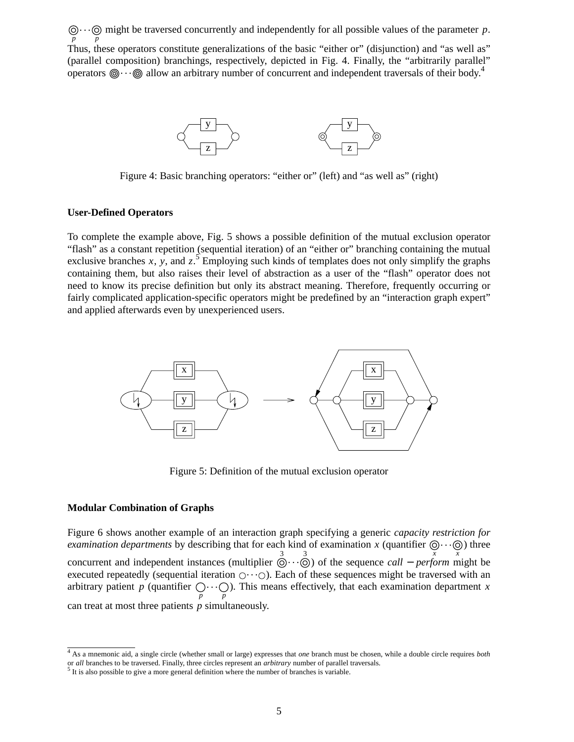*p*  $\cdots$  might be traversed concurrently and independently for all possible values of the parameter *p*. *p* Thus, these operators constitute generalizations of the basic "either or" (disjunction) and "as well as" (parallel composition) branchings, respectively, depicted in Fig. 4. Finally, the "arbitrarily parallel" operators  $\circled{)} \cdots \circled{)}$  allow an arbitrary number of concurrent and independent traversals of their body.<sup>4</sup>



Figure 4: Basic branching operators: "either or" (left) and "as well as" (right)

#### **User-Defined Operators**

To complete the example above, Fig. 5 shows a possible definition of the mutual exclusion operator "flash" as a constant repetition (sequential iteration) of an "either or" branching containing the mutual exclusive branches  $x$ ,  $y$ , and  $z$ .<sup>5</sup> Employing such kinds of templates does not only simplify the graphs containing them, but also raises their level of abstraction as a user of the "flash" operator does not need to know its precise definition but only its abstract meaning. Therefore, frequently occurring or fairly complicated application-specific operators might be predefined by an "interaction graph expert" and applied afterwards even by unexperienced users.



Figure 5: Definition of the mutual exclusion operator

#### **Modular Combination of Graphs**

Figure 6 shows another example of an interaction graph specifying a generic *capacity restriction for examination departments* by describing that for each kind of examination *x* (quantifier  $\bigcirc \cdots \bigcirc \limits_{x}$ ) three concurrent and independent instances (multiplier  $\overline{Q}$ ... $\overline{Q}$ ) of the sequence *call* − *perform* might be executed repeatedly (sequential iteration  $\bigcirc \cdot \cdot \bigcirc$ ). Each of these sequences might be traversed with an arbitrary patient p (quantifier  $\bigcirc \cdots \bigcirc$ ). This means effectively, that each examination department *x p p* can treat at most three patients *p* simultaneously.

<sup>4</sup> As a mnemonic aid, a single circle (whether small or large) expresses that *one* branch must be chosen, while a double circle requires *both* or *all* branches to be traversed. Finally, three circles represent an *arbitrary* number of parallel traversals. <sup>5</sup> It is also possible to give a more general definition where the number of branches is variable.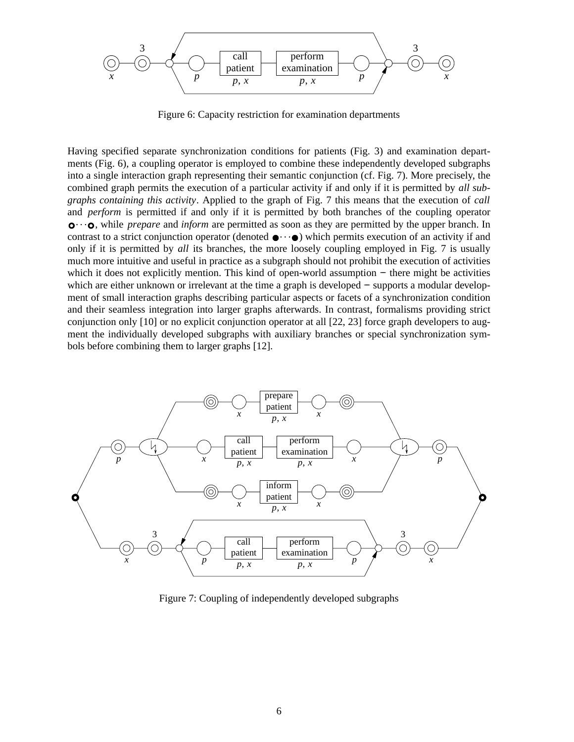

Figure 6: Capacity restriction for examination departments

Having specified separate synchronization conditions for patients (Fig. 3) and examination departments (Fig. 6), a coupling operator is employed to combine these independently developed subgraphs into a single interaction graph representing their semantic conjunction (cf. Fig. 7). More precisely, the combined graph permits the execution of a particular activity if and only if it is permitted by *all subgraphs containing this activity*. Applied to the graph of Fig. 7 this means that the execution of *call* and *perform* is permitted if and only if it is permitted by both branches of the coupling operator  $\mathbf{o} \cdots \mathbf{o}$ , while *prepare* and *inform* are permitted as soon as they are permitted by the upper branch. In contrast to a strict conjunction operator (denoted  $\bullet \cdots \bullet$ ) which permits execution of an activity if and only if it is permitted by *all* its branches, the more loosely coupling employed in Fig. 7 is usually much more intuitive and useful in practice as a subgraph should not prohibit the execution of activities which it does not explicitly mention. This kind of open-world assumption – there might be activities which are either unknown or irrelevant at the time a graph is developed – supports a modular development of small interaction graphs describing particular aspects or facets of a synchronization condition and their seamless integration into larger graphs afterwards. In contrast, formalisms providing strict conjunction only [10] or no explicit conjunction operator at all [22, 23] force graph developers to augment the individually developed subgraphs with auxiliary branches or special synchronization symbols before combining them to larger graphs [12].



Figure 7: Coupling of independently developed subgraphs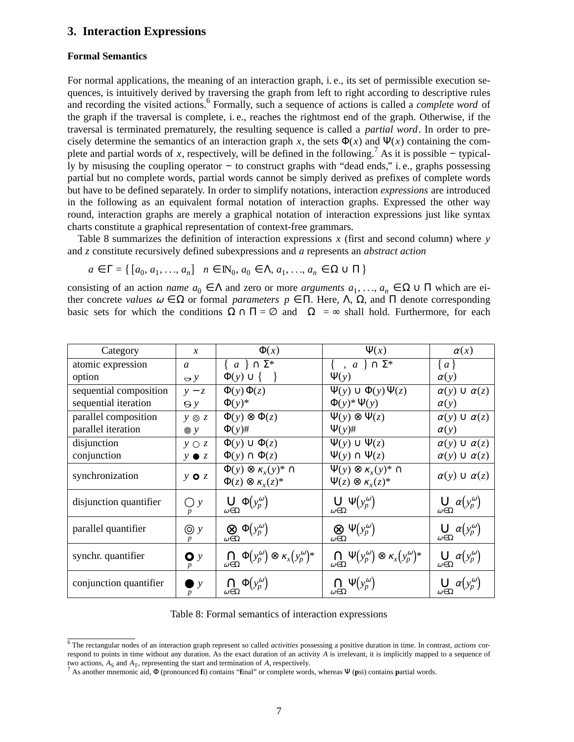## **3. Interaction Expressions**

## **Formal Semantics**

For normal applications, the meaning of an interaction graph, i. e., its set of permissible execution sequences, is intuitively derived by traversing the graph from left to right according to descriptive rules and recording the visited actions.<sup>6</sup> Formally, such a sequence of actions is called a *complete word* of the graph if the traversal is complete, i. e., reaches the rightmost end of the graph. Otherwise, if the traversal is terminated prematurely, the resulting sequence is called a *partial word*. In order to precisely determine the semantics of an interaction graph x, the sets  $\Phi(x)$  and  $\Psi(x)$  containing the complete and partial words of *x*, respectively, will be defined in the following.<sup>7</sup> As it is possible – typically by misusing the coupling operator – to construct graphs with "dead ends," i.e., graphs possessing partial but no complete words, partial words cannot be simply derived as prefixes of complete words but hav e to be defined separately. In order to simplify notations, interaction *expressions* are introduced in the following as an equivalent formal notation of interaction graphs. Expressed the other way round, interaction graphs are merely a graphical notation of interaction expressions just like syntax charts constitute a graphical representation of context-free grammars.

Table 8 summarizes the definition of interaction expressions *x* (first and second column) where *y* and *z* constitute recursively defined subexpressions and *a* represents an *abstract action*

$$
a \in \Gamma = \{ [a_0, a_1, ..., a_n] \mid n \in \mathbb{N}_0, a_0 \in \Lambda, a_1, ..., a_n \in \Omega \cup \Pi \}
$$

consisting of an action *name*  $a_0 \in \Lambda$  and zero or more *arguments*  $a_1, \ldots, a_n \in \Omega \cup \Pi$  which are either concrete *values*  $\omega \in \Omega$  or formal *parameters*  $p \in \Pi$ . Here,  $\Lambda$ ,  $\Omega$ , and  $\Pi$  denote corresponding basic sets for which the conditions  $\Omega \cap \Pi = \emptyset$  and  $|\Omega| = \infty$  shall hold. Furthermore, for each

| Category               | $\mathcal{X}$    | $\Phi(x)$                                                                     | $\Psi(x)$                                                                                     | $\alpha(x)$                                        |
|------------------------|------------------|-------------------------------------------------------------------------------|-----------------------------------------------------------------------------------------------|----------------------------------------------------|
| atomic expression      | $\mathfrak{a}$   | $\{\langle a \rangle\} \cap \Sigma^*$                                         | $\{\langle \rangle, \langle a \rangle\} \cap \Sigma^*$                                        | $\{a\}$                                            |
| option                 | $\bigcirc$ y     | $\Phi(y) \cup \{\langle\rangle\}\$                                            | $\Psi(y)$                                                                                     | $\alpha(y)$                                        |
| sequential composition | $y - z$          | $\Phi(y)\Phi(z)$                                                              | $\Psi(y) \cup \Phi(y) \Psi(z)$                                                                | $\alpha(y) \cup \alpha(z)$                         |
| sequential iteration   | $\Theta$ y       | $\Phi(y)^*$                                                                   | $\Phi(y)$ * $\Psi(y)$                                                                         | $\alpha(y)$                                        |
| parallel composition   | $y \circ z$      | $\Phi(y) \otimes \Phi(z)$                                                     | $\Psi(y) \otimes \Psi(z)$                                                                     | $\alpha(y) \cup \alpha(z)$                         |
| parallel iteration     | $\circledcirc$ y | $\Phi(y)$ #                                                                   | $\Psi(y)\#$                                                                                   | $\alpha(y)$                                        |
| disjunction            | $y \bigcirc z$   | $\Phi(y) \cup \Phi(z)$                                                        | $\Psi(y) \cup \Psi(z)$                                                                        | $\alpha(y) \cup \alpha(z)$                         |
| conjunction            | $y \bullet z$    | $\Phi(y) \cap \Phi(z)$                                                        | $\Psi(y) \cap \Psi(z)$                                                                        | $\alpha(y) \cup \alpha(z)$                         |
| synchronization        | $y \circ z$      | $\Phi(y) \otimes \kappa_x(y)^* \cap$<br>$\Phi(z) \otimes \kappa_r(z)^*$       | $\Psi(y) \otimes \kappa_{\rm r}(y)^* \cap$<br>$\Psi(z) \otimes \kappa_r(z)^*$                 | $\alpha(y) \cup \alpha(z)$                         |
| disjunction quantifier | Oу               | $\bigcup_{\omega \in \Omega} \Phi(y_p^{\omega})$                              | $\bigcup_{\omega \in \Omega} \Psi(y_p^{\omega})$                                              | $\bigcup_{\omega \in \Omega} \alpha(y_p^{\omega})$ |
| parallel quantifier    | $\odot$ y        | $\otimes \Phi(y_p^{\omega})$<br>$\omega \in \Omega$                           | $\bigotimes_{\omega \in \Omega} \Psi(y_p^{\omega})$                                           | $\bigcup_{\omega \in \Omega} \alpha(y_p^{\omega})$ |
| synchr. quantifier     | $\mathbf{o}$ y   | $\bigcap_{\omega \in \Omega} \Phi(y_p^\omega) \otimes \kappa_x(y_p^\omega)^*$ | $\bigcap_{\omega \in \Omega} \Psi\big(y_p^\omega\big) \otimes \kappa_x\big(y_p^\omega\big)^*$ | $\bigcup_{\omega \in \Omega} \alpha(y_p^{\omega})$ |
| conjunction quantifier | $\mathbf{v}$     | $\bigcap_{\omega \in \Omega} \Phi(y_p^{\omega})$                              | $\bigcap_{\omega \in \Omega} \Psi \big( y_p^\omega \big)$                                     | $\bigcup_{\omega \in \Omega} \alpha(y_p^{\omega})$ |

Table 8: Formal semantics of interaction expressions

<sup>6</sup> The rectangular nodes of an interaction graph represent so called *activities* possessing a positive duration in time. In contrast, *actions* correspond to points in time without any duration. As the exact duration of an activity *A* is irrelevant, it is implicitly mapped to a sequence of two actions,  $A_S$  and  $A_T$ , representing the start and termination of A, respectively.<br><sup>7</sup> As another mnemonic aid,  $\Phi$  (pronounced fi) contains "final" or complete words, whereas  $\Psi$  (psi) contains partial words.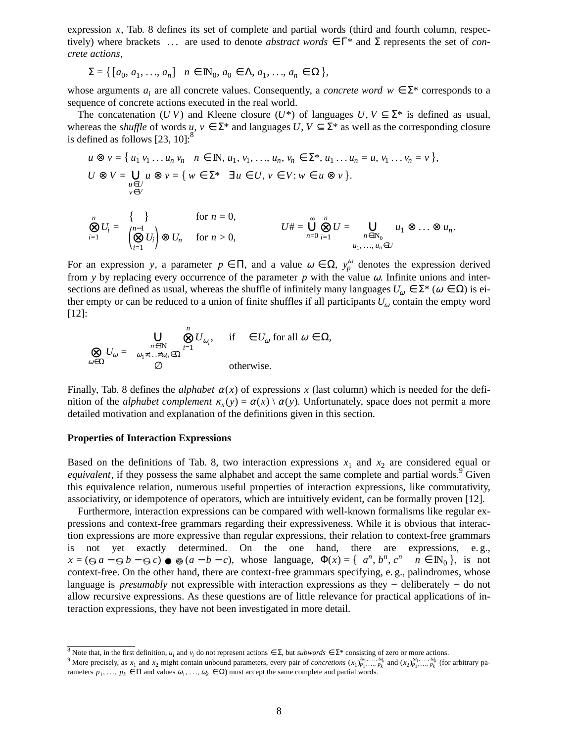expression *x*, Tab. 8 defines its set of complete and partial words (third and fourth column, respectively) where brackets  $\langle \ldots \rangle$  are used to denote *abstract words*  $\in \Gamma^*$  and  $\Sigma$  represents the set of *concrete actions*,

$$
\Sigma = \{ [a_0, a_1, \ldots, a_n] \mid n \in \mathbb{N}_0, a_0 \in \Lambda, a_1, \ldots, a_n \in \Omega \},
$$

whose arguments  $a_i$  are all concrete values. Consequently, a *concrete word*  $w \in \Sigma^*$  corresponds to a sequence of concrete actions executed in the real world.

The concatenation (*UV*) and Kleene closure (*U*\*) of languages *U*,  $V \subseteq \Sigma^*$  is defined as usual, whereas the *shuffle* of words  $u, v \in \Sigma^*$  and languages  $U, V \subseteq \Sigma^*$  as well as the corresponding closure is defined as follows  $[23, 10]$ :<sup>8</sup>

$$
u \otimes v = \{u_1v_1 \dots u_n v_n \mid n \in \mathbb{N}, u_1, v_1, \dots, u_n, v_n \in \Sigma^*, u_1 \dots u_n = u, v_1 \dots v_n = v\},
$$
  
\n
$$
U \otimes V = \bigcup_{\substack{u \in U \\ v \in V}} u \otimes v = \{w \in \Sigma^* \mid \exists u \in U, v \in V : w \in u \otimes v\}.
$$
  
\n
$$
\bigotimes_{v \in V} U_i = \begin{cases} \{\langle v \rangle \} & \text{for } n = 0, \\ \left(\bigotimes_{i=1}^{n-1} U_i\right) \otimes U_n & \text{for } n > 0, \end{cases}
$$
  
\n
$$
U \# = \bigcup_{n=0}^{\infty} \bigotimes_{i=1}^{n} U = \bigcup_{\substack{n \in \mathbb{N}_0 \\ u_1, \dots, u_n \in U}} u_1 \otimes \dots \otimes u_n.
$$

For an expression *y*, a parameter  $p \in \Pi$ , and a value  $\omega \in \Omega$ ,  $y_p^{\omega}$  denotes the expression derived from *y* by replacing every occurrence of the parameter  $p$  with the value  $\omega$ . Infinite unions and intersections are defined as usual, whereas the shuffle of infinitely many languages  $U_{\omega} \in \Sigma^*$  ( $\omega \in \Omega$ ) is either empty or can be reduced to a union of finite shuffles if all participants  $U_{\omega}$  contain the empty word [12]:

$$
\bigotimes_{\omega \in \Omega} U_{\omega} = \begin{cases} \bigcup_{\substack{n \in \mathbb{N} \\ \omega_1 \neq \dots \neq \omega_n \in \Omega}} \bigotimes_{i=1}^n U_{\omega_i}, & \text{if } \langle \rangle \in U_{\omega} \text{ for all } \omega \in \Omega, \\ \varnothing & \text{otherwise.} \end{cases}
$$

Finally, Tab. 8 defines the *alphabet*  $\alpha(x)$  of expressions x (last column) which is needed for the definition of the *alphabet complement*  $\kappa_x(y) = \alpha(x) \setminus \alpha(y)$ . Unfortunately, space does not permit a more detailed motivation and explanation of the definitions given in this section.

#### **Properties of Interaction Expressions**

Based on the definitions of Tab. 8, two interaction expressions  $x_1$  and  $x_2$  are considered equal or *equivalent*, if they possess the same alphabet and accept the same complete and partial words.<sup>9</sup> Given this equivalence relation, numerous useful properties of interaction expressions, like commutativity, associativity, or idempotence of operators, which are intuitively evident, can be formally proven [12].

Furthermore, interaction expressions can be compared with well-known formalisms like regular expressions and context-free grammars regarding their expressiveness. While it is obvious that interaction expressions are more expressive than regular expressions, their relation to context-free grammars is not yet exactly determined. On the one hand, there are expressions, e.g.,  $x = (\Theta a - \Theta b - \Theta c) \bullet (\Theta a - b - c)$ , whose language,  $\Phi(x) = {\langle a^n, b^n, c^n \rangle \mid n \in \mathbb{N}_0}$ , is not context-free. On the other hand, there are context-free grammars specifying, e. g., palindromes, whose language is *presumably* not expressible with interaction expressions as they −− deliberately −− do not allow recursive expressions. As these questions are of little relevance for practical applications of interaction expressions, they have not been investigated in more detail.

<sup>&</sup>lt;sup>8</sup> Note that, in the first definition,  $u_i$  and  $v_i$  do not represent actions  $\in \Sigma$ , but *subwords*  $\in \Sigma^*$  consisting of zero or more actions.<br><sup>9</sup> More precisely, as  $x_1$  and  $x_2$  might contain unbound parameters, e rameters  $p_1, ..., p_k \in \Pi$  and values  $\omega_1, ..., \omega_k \in \Omega$ ) must accept the same complete and partial words.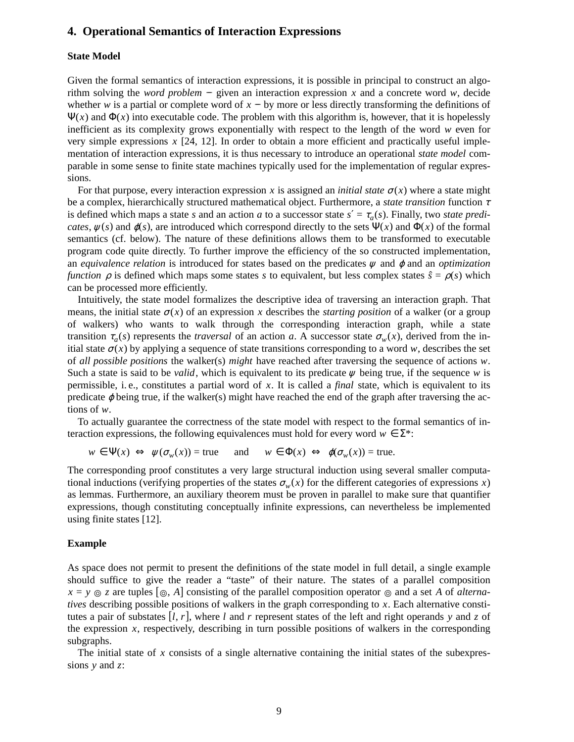## **4. Operational Semantics of Interaction Expressions**

## **State Model**

Given the formal semantics of interaction expressions, it is possible in principal to construct an algorithm solving the *word problem* – given an interaction expression  $x$  and a concrete word  $w$ , decide whether *w* is a partial or complete word of  $x - by$  more or less directly transforming the definitions of  $\Psi(x)$  and  $\Phi(x)$  into executable code. The problem with this algorithm is, however, that it is hopelessly inefficient as its complexity grows exponentially with respect to the length of the word  $w$  even for very simple expressions *x* [24, 12]. In order to obtain a more efficient and practically useful implementation of interaction expressions, it is thus necessary to introduce an operational *state model* comparable in some sense to finite state machines typically used for the implementation of regular expressions.

For that purpose, every interaction expression *x* is assigned an *initial state*  $\sigma(x)$  where a state might be a complex, hierarchically structured mathematical object. Furthermore, a *state transition* function <sup>τ</sup> is defined which maps a state *s* and an action *a* to a successor state  $s' = \tau_a(s)$ . Finally, two *state predicates*,  $\psi(s)$  and  $\phi(s)$ , are introduced which correspond directly to the sets  $\Psi(x)$  and  $\Phi(x)$  of the formal semantics (cf. below). The nature of these definitions allows them to be transformed to executable program code quite directly. To further improve the efficiency of the so constructed implementation, an *equivalence relation* is introduced for states based on the predicates <sup>ψ</sup> and <sup>ϕ</sup> and an *optimization function*  $\rho$  is defined which maps some states *s* to equivalent, but less complex states  $\hat{s} = \rho(s)$  which can be processed more efficiently.

Intuitively, the state model formalizes the descriptive idea of traversing an interaction graph. That means, the initial state  $\sigma(x)$  of an expression x describes the *starting position* of a walker (or a group of walkers) who wants to walk through the corresponding interaction graph, while a state transition  $\tau_a(s)$  represents the *traversal* of an action *a*. A successor state  $\sigma_w(x)$ , derived from the initial state  $\sigma(x)$  by applying a sequence of state transitions corresponding to a word *w*, describes the set of *all possible positions* the walker(s) *might* have reached after traversing the sequence of actions *w*. Such a state is said to be *valid*, which is equivalent to its predicate  $\psi$  being true, if the sequence  $\psi$  is permissible, i. e., constitutes a partial word of *x*. It is called a *final* state, which is equivalent to its predicate  $\varphi$  being true, if the walker(s) might have reached the end of the graph after traversing the actions of *w*.

To actually guarantee the correctness of the state model with respect to the formal semantics of interaction expressions, the following equivalences must hold for every word  $w \in \Sigma^*$ :

$$
w \in \Psi(x) \iff \psi(\sigma_w(x)) = \text{true} \quad \text{and} \quad w \in \Phi(x) \iff \phi(\sigma_w(x)) = \text{true}.
$$

The corresponding proof constitutes a very large structural induction using several smaller computational inductions (verifying properties of the states  $\sigma_w(x)$  for the different categories of expressions *x*) as lemmas. Furthermore, an auxiliary theorem must be proven in parallel to make sure that quantifier expressions, though constituting conceptually infinite expressions, can nevertheless be implemented using finite states [12].

#### **Example**

As space does not permit to present the definitions of the state model in full detail, a single example should suffice to give the reader a "taste" of their nature. The states of a parallel composition  $x = y \odot z$  are tuples  $[\circledcirc, A]$  consisting of the parallel composition operator  $\circledcirc$  and a set *A* of *alternatives* describing possible positions of walkers in the graph corresponding to *x*. Each alternative constitutes a pair of substates [*l*, *r*], where *l* and *r* represent states of the left and right operands *y* and *z* of the expression  $x$ , respectively, describing in turn possible positions of walkers in the corresponding subgraphs.

The initial state of *x* consists of a single alternative containing the initial states of the subexpressions *y* and *z*: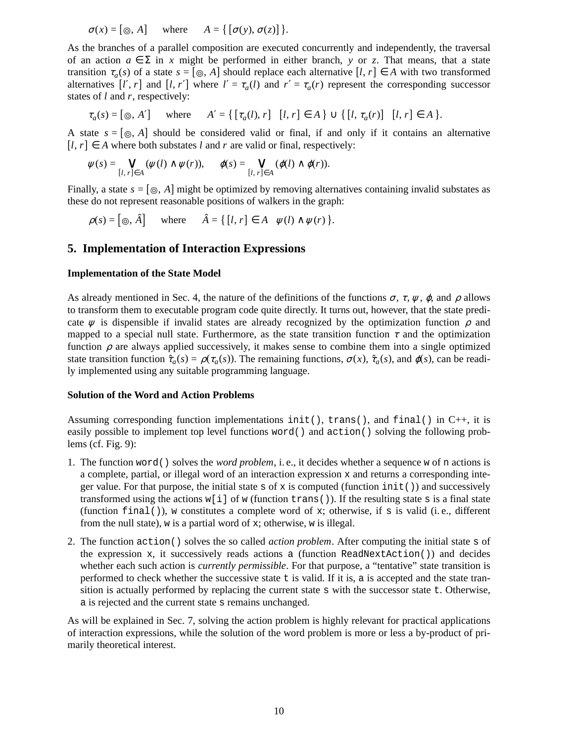$$
\sigma(x) = [\circledcirc, A] \quad \text{where} \quad A = \{ [\sigma(y), \sigma(z)] \}.
$$

As the branches of a parallel composition are executed concurrently and independently, the traversal of an action  $a \in \Sigma$  in *x* might be performed in either branch, *y* or *z*. That means, that a state transition  $\tau_a(s)$  of a state  $s = [\circledcirc, A]$  should replace each alternative  $[l, r] \in A$  with two transformed alternatives  $[l', r]$  and  $[l, r']$  where  $l' = \tau_a(l)$  and  $r' = \tau_a(r)$  represent the corresponding successor states of *l* and *r*, respectively:

$$
\tau_a(s) = [\circledcirc, A'] \quad \text{where} \quad A' = \{ \lbrack \tau_a(l), r \rbrack \mid [l, r] \in A \} \cup \{ \lbrack l, \tau_a(r) \rbrack \mid [l, r] \in A \}.
$$

A state  $s = [\,\circledcirc, A]$  should be considered valid or final, if and only if it contains an alternative  $[I, r] \in A$  where both substates *l* and *r* are valid or final, respectively:

$$
\psi(s) = \bigvee_{[l, r] \in A} (\psi(l) \wedge \psi(r)), \quad \varphi(s) = \bigvee_{[l, r] \in A} (\varphi(l) \wedge \varphi(r)).
$$

Finally, a state  $s = [\circledcirc, A]$  might be optimized by removing alternatives containing invalid substates as these do not represent reasonable positions of walkers in the graph:

$$
\rho(s) = [\circledcirc, \hat{A}] \quad \text{where} \quad \hat{A} = \{ [l, r] \in A \mid \psi(l) \wedge \psi(r) \}.
$$

## **5. Implementation of Interaction Expressions**

## **Implementation of the State Model**

As already mentioned in Sec. 4, the nature of the definitions of the functions  $\sigma$ ,  $\tau$ ,  $\psi$ ,  $\varphi$ , and  $\rho$  allows to transform them to executable program code quite directly. It turns out, however, that the state predicate  $\psi$  is dispensible if invalid states are already recognized by the optimization function  $\rho$  and mapped to a special null state. Furthermore, as the state transition function  $\tau$  and the optimization function  $\rho$  are always applied successively, it makes sense to combine them into a single optimized state transition function  $\hat{\tau}_a(s) = \rho(\tau_a(s))$ . The remaining functions,  $\sigma(x)$ ,  $\hat{\tau}_a(s)$ , and  $\phi(s)$ , can be readily implemented using any suitable programming language.

#### **Solution of the Word and Action Problems**

Assuming corresponding function implementations init(), trans(), and final() in C++, it is easily possible to implement top level functions word() and action() solving the following problems (cf. Fig. 9):

- 1. The function word() solves the *word problem*, i. e., it decides whether a sequence w of n actions is a complete, partial, or illegal word of an interaction expression  $x$  and returns a corresponding integer value. For that purpose, the initial state s of x is computed (function  $init()$ ) and successively transformed using the actions  $w[i]$  of w (function trans()). If the resulting state s is a final state (function final()), w constitutes a complete word of x; otherwise, if s is valid (i.e., different from the null state), w is a partial word of x; otherwise, w is illegal.
- 2. The function action() solves the so called *action problem*. After computing the initial state s of the expression x, it successively reads actions a (function ReadNextAction()) and decides whether each such action is *currently permissible*. For that purpose, a "tentative" state transition is performed to check whether the successive state t is valid. If it is, a is accepted and the state transition is actually performed by replacing the current state s with the successor state t. Otherwise, a is rejected and the current state s remains unchanged.

As will be explained in Sec. 7, solving the action problem is highly relevant for practical applications of interaction expressions, while the solution of the word problem is more or less a by-product of primarily theoretical interest.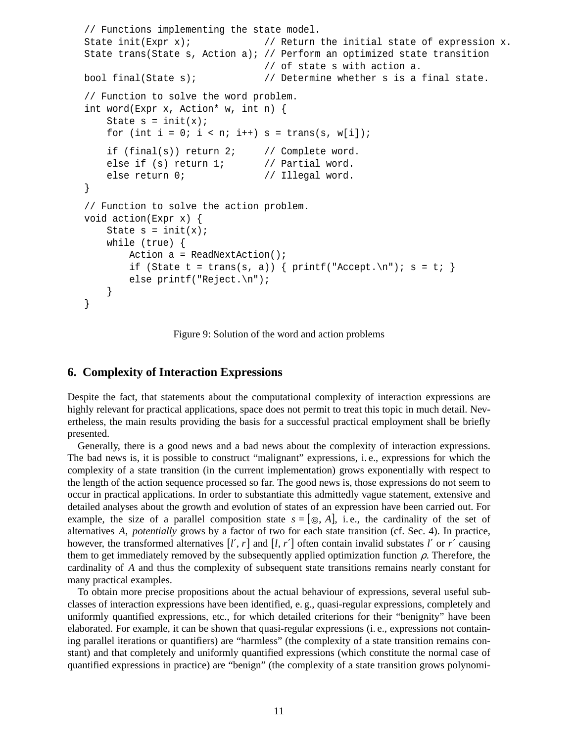```
// Functions implementing the state model.
State init(Expr x); \frac{1}{2} // Return the initial state of expression x.
State trans(State s, Action a); // Perform an optimized state transition
                              // of state s with action a.
bool final(State s); // Determine whether s is a final state.
// Function to solve the word problem.
int word(Expr x, Action* w, int n) {
   State s = init(x);
   for (int i = 0; i < ni; i++) s = trans(s, w[i]);
   if (final(s)) return 2; // Complete word.
   else if (s) return 1; // Partial word.
   else return 0; \frac{1}{2} // Illegal word.
}
// Function to solve the action problem.
void action(Expr x) {
   State s = init(x);
   while (true) {
       Action a = ReadNextAction();
        if (State t = trans(s, a)) { printf("Accept.\n"); s = t; }
       else printf("Reject.\n");
    }
}
```
Figure 9: Solution of the word and action problems

## **6. Complexity of Interaction Expressions**

Despite the fact, that statements about the computational complexity of interaction expressions are highly relevant for practical applications, space does not permit to treat this topic in much detail. Nevertheless, the main results providing the basis for a successful practical employment shall be briefly presented.

Generally, there is a good news and a bad news about the complexity of interaction expressions. The bad news is, it is possible to construct "malignant" expressions, i. e., expressions for which the complexity of a state transition (in the current implementation) grows exponentially with respect to the length of the action sequence processed so far. The good news is, those expressions do not seem to occur in practical applications. In order to substantiate this admittedly vague statement, extensive and detailed analyses about the growth and evolution of states of an expression have been carried out. For example, the size of a parallel composition state  $s = [\,\circledcirc, A]$ , i.e., the cardinality of the set of alternatives *A*, *potentially* grows by a factor of two for each state transition (cf. Sec. 4). In practice, however, the transformed alternatives  $[l', r]$  and  $[l, r']$  often contain invalid substates  $l'$  or  $r'$  causing them to get immediately removed by the subsequently applied optimization function  $\rho$ . Therefore, the cardinality of *A* and thus the complexity of subsequent state transitions remains nearly constant for many practical examples.

To obtain more precise propositions about the actual behaviour of expressions, several useful subclasses of interaction expressions have been identified, e. g., quasi-regular expressions, completely and uniformly quantified expressions, etc., for which detailed criterions for their "benignity" have been elaborated. For example, it can be shown that quasi-regular expressions (i. e., expressions not containing parallel iterations or quantifiers) are "harmless" (the complexity of a state transition remains constant) and that completely and uniformly quantified expressions (which constitute the normal case of quantified expressions in practice) are "benign" (the complexity of a state transition grows polynomi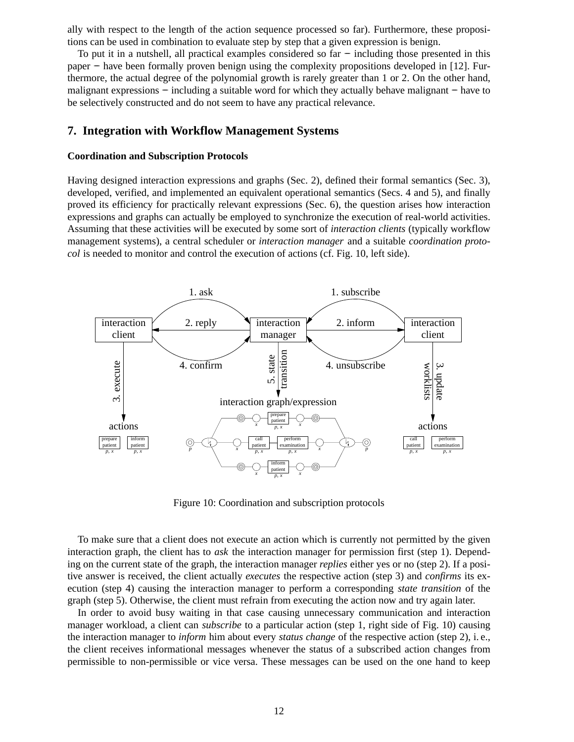ally with respect to the length of the action sequence processed so far). Furthermore, these propositions can be used in combination to evaluate step by step that a given expression is benign.

To put it in a nutshell, all practical examples considered so far – including those presented in this paper – have been formally proven benign using the complexity propositions developed in [12]. Furthermore, the actual degree of the polynomial growth is rarely greater than 1 or 2. On the other hand, malignant expressions – including a suitable word for which they actually behave malignant – have to be selectively constructed and do not seem to have any practical relevance.

## **7. Integration with Workflow Management Systems**

#### **Coordination and Subscription Protocols**

Having designed interaction expressions and graphs (Sec. 2), defined their formal semantics (Sec. 3), developed, verified, and implemented an equivalent operational semantics (Secs. 4 and 5), and finally proved its efficiency for practically relevant expressions (Sec. 6), the question arises how interaction expressions and graphs can actually be employed to synchronize the execution of real-world activities. Assuming that these activities will be executed by some sort of *interaction clients* (typically workflow management systems), a central scheduler or *interaction manager* and a suitable *coordination protocol* is needed to monitor and control the execution of actions (cf. Fig. 10, left side).



Figure 10: Coordination and subscription protocols

To make sure that a client does not execute an action which is currently not permitted by the given interaction graph, the client has to *ask* the interaction manager for permission first (step 1). Depending on the current state of the graph, the interaction manager *replies* either yes or no (step 2). If a positive answer is received, the client actually *executes* the respective action (step 3) and *confirms* its execution (step 4) causing the interaction manager to perform a corresponding *state transition* of the graph (step 5). Otherwise, the client must refrain from executing the action now and try again later.

In order to avoid busy waiting in that case causing unnecessary communication and interaction manager workload, a client can *subscribe* to a particular action (step 1, right side of Fig. 10) causing the interaction manager to *inform* him about every *status change* of the respective action (step 2), i. e., the client receives informational messages whenever the status of a subscribed action changes from permissible to non-permissible or vice versa. These messages can be used on the one hand to keep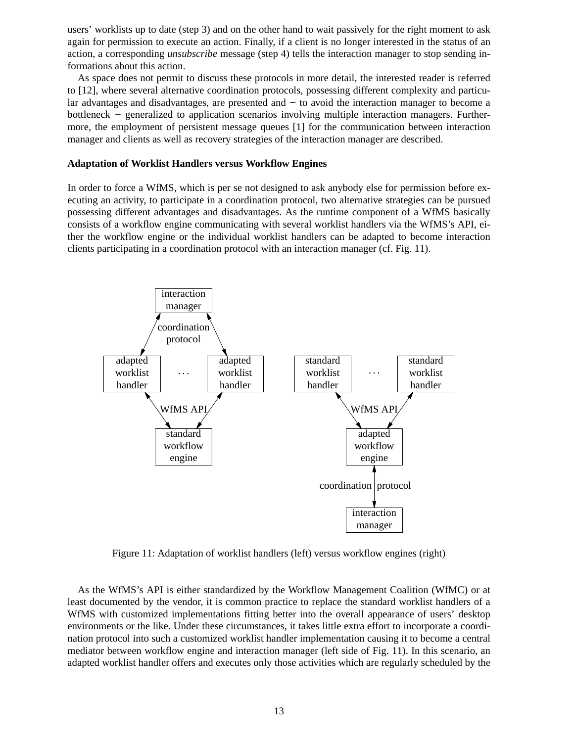users' worklists up to date (step 3) and on the other hand to wait passively for the right moment to ask again for permission to execute an action. Finally, if a client is no longer interested in the status of an action, a corresponding *unsubscribe* message (step 4) tells the interaction manager to stop sending informations about this action.

As space does not permit to discuss these protocols in more detail, the interested reader is referred to [12], where several alternative coordination protocols, possessing different complexity and particular advantages and disadvantages, are presented and – to avoid the interaction manager to become a bottleneck −− generalized to application scenarios involving multiple interaction managers. Furthermore, the employment of persistent message queues [1] for the communication between interaction manager and clients as well as recovery strategies of the interaction manager are described.

#### **Adaptation of Worklist Handlers versus Workflow Engines**

In order to force a WfMS, which is per se not designed to ask anybody else for permission before executing an activity, to participate in a coordination protocol, two alternative strategies can be pursued possessing different advantages and disadvantages. As the runtime component of a WfMS basically consists of a workflow engine communicating with several worklist handlers via the WfMS's API, either the workflow engine or the individual worklist handlers can be adapted to become interaction clients participating in a coordination protocol with an interaction manager (cf. Fig. 11).



Figure 11: Adaptation of worklist handlers (left) versus workflow engines (right)

As the WfMS's API is either standardized by the Workflow Management Coalition (WfMC) or at least documented by the vendor, it is common practice to replace the standard worklist handlers of a WfMS with customized implementations fitting better into the overall appearance of users' desktop environments or the like. Under these circumstances, it takes little extra effort to incorporate a coordination protocol into such a customized worklist handler implementation causing it to become a central mediator between workflow engine and interaction manager (left side of Fig. 11). In this scenario, an adapted worklist handler offers and executes only those activities which are regularly scheduled by the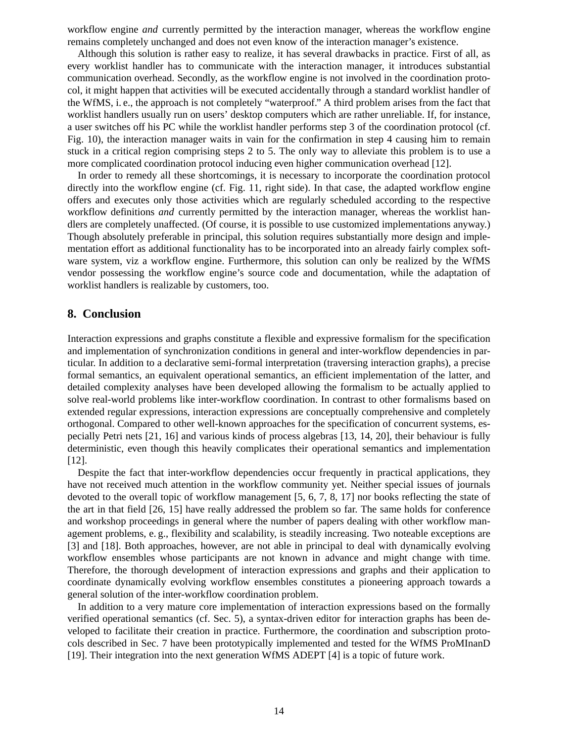workflow engine *and* currently permitted by the interaction manager, whereas the workflow engine remains completely unchanged and does not even know of the interaction manager's existence.

Although this solution is rather easy to realize, it has several drawbacks in practice. First of all, as every worklist handler has to communicate with the interaction manager, it introduces substantial communication overhead. Secondly, as the workflow engine is not involved in the coordination protocol, it might happen that activities will be executed accidentally through a standard worklist handler of the WfMS, i. e., the approach is not completely "waterproof." A third problem arises from the fact that worklist handlers usually run on users' desktop computers which are rather unreliable. If, for instance, a user switches off his PC while the worklist handler performs step 3 of the coordination protocol (cf. Fig. 10), the interaction manager waits in vain for the confirmation in step 4 causing him to remain stuck in a critical region comprising steps 2 to 5. The only way to alleviate this problem is to use a more complicated coordination protocol inducing even higher communication overhead [12].

In order to remedy all these shortcomings, it is necessary to incorporate the coordination protocol directly into the workflow engine (cf. Fig. 11, right side). In that case, the adapted workflow engine offers and executes only those activities which are regularly scheduled according to the respective workflow definitions *and* currently permitted by the interaction manager, whereas the worklist handlers are completely unaffected. (Of course, it is possible to use customized implementations anyway.) Though absolutely preferable in principal, this solution requires substantially more design and implementation effort as additional functionality has to be incorporated into an already fairly complex software system, viz a workflow engine. Furthermore, this solution can only be realized by the WfMS vendor possessing the workflow engine's source code and documentation, while the adaptation of worklist handlers is realizable by customers, too.

## **8. Conclusion**

Interaction expressions and graphs constitute a flexible and expressive formalism for the specification and implementation of synchronization conditions in general and inter-workflow dependencies in particular. In addition to a declarative semi-formal interpretation (traversing interaction graphs), a precise formal semantics, an equivalent operational semantics, an efficient implementation of the latter, and detailed complexity analyses have been developed allowing the formalism to be actually applied to solve real-world problems like inter-workflow coordination. In contrast to other formalisms based on extended regular expressions, interaction expressions are conceptually comprehensive and completely orthogonal. Compared to other well-known approaches for the specification of concurrent systems, especially Petri nets [21, 16] and various kinds of process algebras [13, 14, 20], their behaviour is fully deterministic, even though this heavily complicates their operational semantics and implementation [12].

Despite the fact that inter-workflow dependencies occur frequently in practical applications, they have not received much attention in the workflow community yet. Neither special issues of journals devoted to the overall topic of workflow management [5, 6, 7, 8, 17] nor books reflecting the state of the art in that field [26, 15] have really addressed the problem so far. The same holds for conference and workshop proceedings in general where the number of papers dealing with other workflow management problems, e. g., flexibility and scalability, is steadily increasing. Two noteable exceptions are [3] and [18]. Both approaches, however, are not able in principal to deal with dynamically evolving workflow ensembles whose participants are not known in advance and might change with time. Therefore, the thorough development of interaction expressions and graphs and their application to coordinate dynamically evolving workflow ensembles constitutes a pioneering approach towards a general solution of the inter-workflow coordination problem.

In addition to a very mature core implementation of interaction expressions based on the formally verified operational semantics (cf. Sec. 5), a syntax-driven editor for interaction graphs has been developed to facilitate their creation in practice. Furthermore, the coordination and subscription protocols described in Sec. 7 have been prototypically implemented and tested for the WfMS ProMInanD [19]. Their integration into the next generation WfMS ADEPT [4] is a topic of future work.